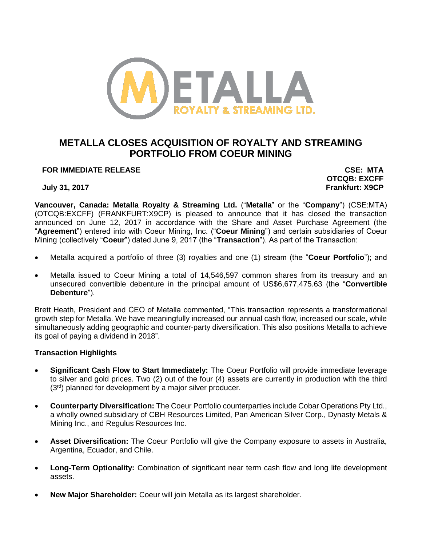

# **METALLA CLOSES ACQUISITION OF ROYALTY AND STREAMING PORTFOLIO FROM COEUR MINING**

**FOR IMMEDIATE RELEASE CSE: MTA**

**OTCQB: EXCFF July 31, 2017 Frankfurt: X9CP**

**Vancouver, Canada: Metalla Royalty & Streaming Ltd.** ("**Metalla**" or the "**Company**") (CSE:MTA) (OTCQB:EXCFF) (FRANKFURT:X9CP) is pleased to announce that it has closed the transaction announced on June 12, 2017 in accordance with the Share and Asset Purchase Agreement (the "**Agreement**") entered into with Coeur Mining, Inc. ("**Coeur Mining**") and certain subsidiaries of Coeur Mining (collectively "**Coeur**") dated June 9, 2017 (the "**Transaction**"). As part of the Transaction:

- Metalla acquired a portfolio of three (3) royalties and one (1) stream (the "**Coeur Portfolio**"); and
- Metalla issued to Coeur Mining a total of 14,546,597 common shares from its treasury and an unsecured convertible debenture in the principal amount of US\$6,677,475.63 (the "**Convertible Debenture**").

Brett Heath, President and CEO of Metalla commented, "This transaction represents a transformational growth step for Metalla. We have meaningfully increased our annual cash flow, increased our scale, while simultaneously adding geographic and counter-party diversification. This also positions Metalla to achieve its goal of paying a dividend in 2018".

# **Transaction Highlights**

- **Significant Cash Flow to Start Immediately:** The Coeur Portfolio will provide immediate leverage to silver and gold prices. Two (2) out of the four (4) assets are currently in production with the third  $(3<sup>rd</sup>)$  planned for development by a major silver producer.
- **Counterparty Diversification:** The Coeur Portfolio counterparties include Cobar Operations Pty Ltd., a wholly owned subsidiary of CBH Resources Limited, Pan American Silver Corp., Dynasty Metals & Mining Inc., and Regulus Resources Inc.
- **Asset Diversification:** The Coeur Portfolio will give the Company exposure to assets in Australia, Argentina, Ecuador, and Chile.
- **Long-Term Optionality:** Combination of significant near term cash flow and long life development assets.
- **New Major Shareholder:** Coeur will join Metalla as its largest shareholder.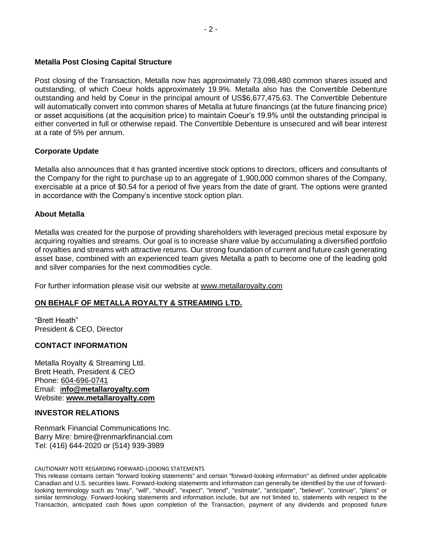### **Metalla Post Closing Capital Structure**

Post closing of the Transaction, Metalla now has approximately 73,098,480 common shares issued and outstanding, of which Coeur holds approximately 19.9%. Metalla also has the Convertible Debenture outstanding and held by Coeur in the principal amount of US\$6,677,475.63. The Convertible Debenture will automatically convert into common shares of Metalla at future financings (at the future financing price) or asset acquisitions (at the acquisition price) to maintain Coeur's 19.9% until the outstanding principal is either converted in full or otherwise repaid. The Convertible Debenture is unsecured and will bear interest at a rate of 5% per annum.

# **Corporate Update**

Metalla also announces that it has granted incentive stock options to directors, officers and consultants of the Company for the right to purchase up to an aggregate of 1,900,000 common shares of the Company, exercisable at a price of \$0.54 for a period of five years from the date of grant. The options were granted in accordance with the Company's incentive stock option plan.

### **About Metalla**

Metalla was created for the purpose of providing shareholders with leveraged precious metal exposure by acquiring royalties and streams. Our goal is to increase share value by accumulating a diversified portfolio of royalties and streams with attractive returns. Our strong foundation of current and future cash generating asset base, combined with an experienced team gives Metalla a path to become one of the leading gold and silver companies for the next commodities cycle.

For further information please visit our website at [www.metallaroyalty.com](http://www.metallaroyalty.com/)

# **ON BEHALF OF METALLA ROYALTY & STREAMING LTD.**

"Brett Heath" President & CEO, Director

#### **CONTACT INFORMATION**

Metalla Royalty & Streaming Ltd. Brett Heath, President & CEO Phone: [604-696-0741](tel:604-696-0741) Email: i**[nfo@metallaroyalty.com](mailto:tim@excaliburresources.ca)** Website: **[www.metallaroyalty.com](http://www.metallaroyalty.com/)**

# **INVESTOR RELATIONS**

Renmark Financial Communications Inc. Barry Mire: bmire@renmarkfinancial.com Tel: (416) 644-2020 or (514) 939-3989

#### CAUTIONARY NOTE REGARDING FORWARD-LOOKING STATEMENTS

This release contains certain "forward looking statements" and certain "forward-looking information" as defined under applicable Canadian and U.S. securities laws. Forward-looking statements and information can generally be identified by the use of forwardlooking terminology such as "may", "will", "should", "expect", "intend", "estimate", "anticipate", "believe", "continue", "plans" or similar terminology. Forward-looking statements and information include, but are not limited to, statements with respect to the Transaction, anticipated cash flows upon completion of the Transaction, payment of any dividends and proposed future